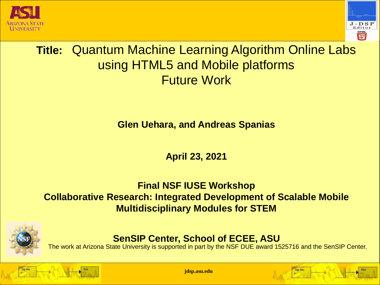



# **Title:** Quantum Machine Learning Algorithm Online Labs using HTML5 and Mobile platforms Future Work

**Glen Uehara, and Andreas Spanias**

**April 23, 2021**

#### **Final NSF IUSE Workshop Collaborative Research: Integrated Development of Scalable Mobile Multidisciplinary Modules for STEM**



**SenSIP Center, School of ECEE, ASU**

The work at Arizona State University is supported in part by the NSF DUE award 1525716 and the SenSIP Center.



**jdsp.asu.edu**

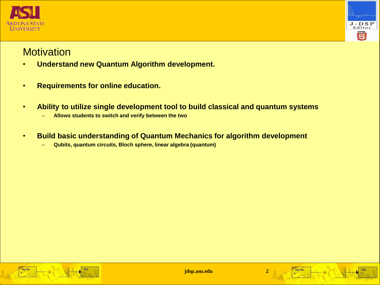



#### **Motivation**

- **Understand new Quantum Algorithm development.**
- **Requirements for online education.**
- **Ability to utilize single development tool to build classical and quantum systems**
	- **Allows students to switch and verify between the two**
- **Build basic understanding of Quantum Mechanics for algorithm development**
	- **Qubits, quantum circuits, Bloch sphere, linear algebra (quantum)**





Sig Gen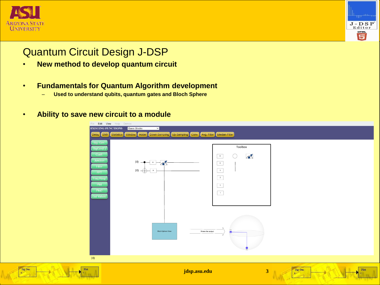

Sig Gen



## Quantum Circuit Design J-DSP

- **New method to develop quantum circuit**
- **Fundamentals for Quantum Algorithm development**
	- **Used to understand qubits, quantum gates and Bloch Sphere**
- **Ability to save new circuit to a module**

| File Edit View Help Demos<br><b>EXISTING FUNCTIONS</b><br><b>Basic Blocks</b><br>Delay SNR<br>Window Adder<br>Statistics                                               | $\vee$<br>Down Sampling Up Sampling Conv. Avg. Filter Median Filter |                                                                                                                                                    |                                  |
|------------------------------------------------------------------------------------------------------------------------------------------------------------------------|---------------------------------------------------------------------|----------------------------------------------------------------------------------------------------------------------------------------------------|----------------------------------|
| Sig. Gen.<br>SigGen(L)<br>Coeff.<br>_<br>Junction<br>$ 0\rangle$<br>Filter<br>$ 0\rangle$<br>FFT.<br>Freq-Resp<br>Plot<br>-<br>Plot <sub>2</sub><br><b>List Values</b> | $\blacktriangle$<br>$\mathsf{H}^-$<br>H<br>$\oplus$                 | Toolbox<br>$\triangle$<br>$\mathbf{H}_{\perp}$<br>()<br>$\mathbf{x}$<br>$\mathbf{Y}$<br>$\mathbf{z}$<br>$\mathcal{T}_\perp$<br>$\langle 1 \rangle$ |                                  |
| $ 0\rangle$                                                                                                                                                            | Shows the output<br><b>Bloch Sphere View</b>                        |                                                                                                                                                    |                                  |
| ${\bf Plot}$                                                                                                                                                           | jdsp.asu.edu                                                        | $\overline{\mathbf{3}}$                                                                                                                            | Sig Gen<br>Plot<br>$\rightarrow$ |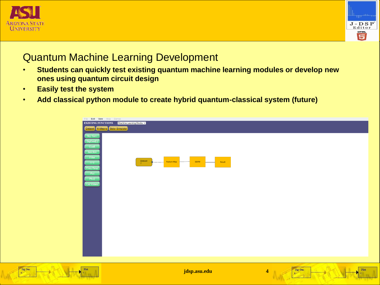

Sig Gen



#### Quantum Machine Learning Development

- **Students can quickly test existing quantum machine learning modules or develop new ones using quantum circuit design**
- **Easily test the system**
- **Add classical python module to create hybrid quantum-classical system (future)**

| File Edit View Help Demos                                 |                                          |
|-----------------------------------------------------------|------------------------------------------|
| <b>EXISTING FUNCTIONS</b> Machine Learning Blocks v       |                                          |
| Dataset K-Means Solar Simulator                           |                                          |
| Sig. Gen.                                                 |                                          |
| -<br>SigGen(L)                                            |                                          |
|                                                           |                                          |
| Coeff.<br>Junction                                        |                                          |
| —                                                         |                                          |
| Filter -                                                  | Dataset<br>QSVM<br>Result<br>Feature Map |
|                                                           | $-7$                                     |
|                                                           |                                          |
| Filler<br>FFT<br>Freq-Resp<br>Plot<br>Plot<br>List Values |                                          |
|                                                           |                                          |
|                                                           |                                          |
|                                                           |                                          |
|                                                           |                                          |
|                                                           |                                          |
|                                                           |                                          |
|                                                           |                                          |
|                                                           |                                          |
|                                                           |                                          |
|                                                           |                                          |
|                                                           |                                          |
|                                                           |                                          |
|                                                           |                                          |
|                                                           |                                          |
|                                                           |                                          |
|                                                           |                                          |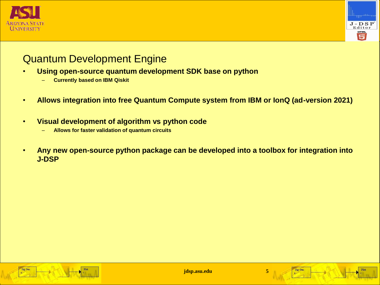



### Quantum Development Engine

- **Using open-source quantum development SDK base on python**
	- **Currently based on IBM Qiskit**
- **Allows integration into free Quantum Compute system from IBM or IonQ (ad-version 2021)**
- **Visual development of algorithm vs python code**
	- **Allows for faster validation of quantum circuits**
- **Any new open-source python package can be developed into a toolbox for integration into J-DSP**



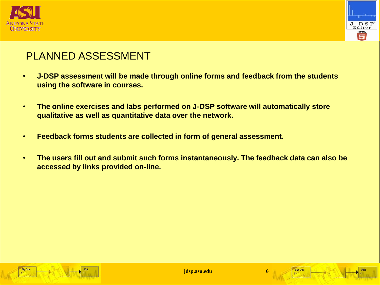



## PLANNED ASSESSMENT

- **J-DSP assessment will be made through online forms and feedback from the students using the software in courses.**
- **The online exercises and labs performed on J-DSP software will automatically store qualitative as well as quantitative data over the network.**
- **Feedback forms students are collected in form of general assessment.**
- **The users fill out and submit such forms instantaneously. The feedback data can also be accessed by links provided on-line.**



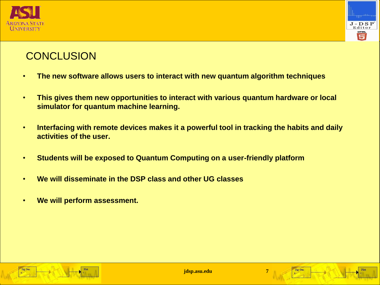



## **CONCLUSION**

- **The new software allows users to interact with new quantum algorithm techniques**
- **This gives them new opportunities to interact with various quantum hardware or local simulator for quantum machine learning.**
- **Interfacing with remote devices makes it a powerful tool in tracking the habits and daily activities of the user.**
- **Students will be exposed to Quantum Computing on a user-friendly platform**
- **We will disseminate in the DSP class and other UG classes**
- **We will perform assessment.**